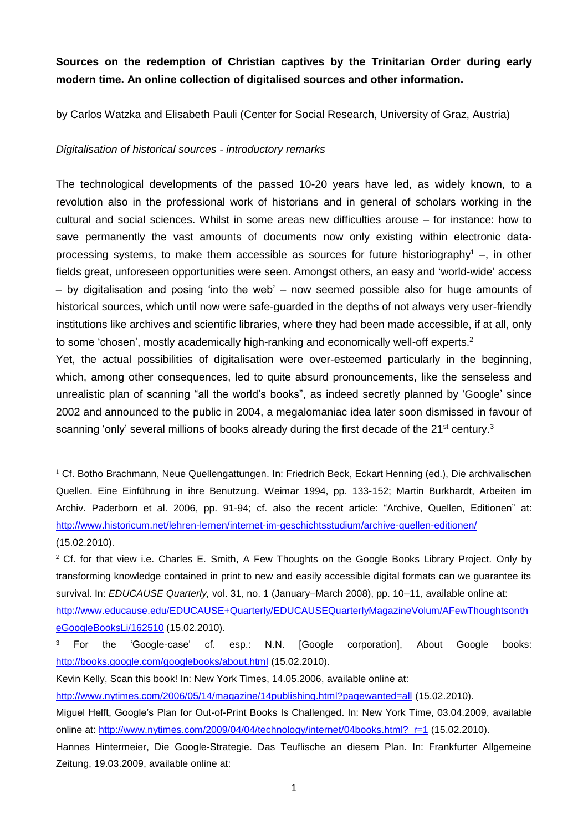# **Sources on the redemption of Christian captives by the Trinitarian Order during early modern time. An online collection of digitalised sources and other information.**

by Carlos Watzka and Elisabeth Pauli (Center for Social Research, University of Graz, Austria)

### *Digitalisation of historical sources - introductory remarks*

1

The technological developments of the passed 10-20 years have led, as widely known, to a revolution also in the professional work of historians and in general of scholars working in the cultural and social sciences. Whilst in some areas new difficulties arouse – for instance: how to save permanently the vast amounts of documents now only existing within electronic dataprocessing systems, to make them accessible as sources for future historiography<sup>1</sup> –, in other fields great, unforeseen opportunities were seen. Amongst others, an easy and 'world-wide' access – by digitalisation and posing 'into the web' – now seemed possible also for huge amounts of historical sources, which until now were safe-guarded in the depths of not always very user-friendly institutions like archives and scientific libraries, where they had been made accessible, if at all, only to some 'chosen', mostly academically high-ranking and economically well-off experts.<sup>2</sup>

Yet, the actual possibilities of digitalisation were over-esteemed particularly in the beginning, which, among other consequences, led to quite absurd pronouncements, like the senseless and unrealistic plan of scanning "all the world's books", as indeed secretly planned by 'Google' since 2002 and announced to the public in 2004, a megalomaniac idea later soon dismissed in favour of scanning 'only' several millions of books already during the first decade of the 21<sup>st</sup> century.<sup>3</sup>

<sup>&</sup>lt;sup>1</sup> Cf. Botho Brachmann, Neue Quellengattungen. In: Friedrich Beck, Eckart Henning (ed.), Die archivalischen Quellen. Eine Einführung in ihre Benutzung. Weimar 1994, pp. 133-152; Martin Burkhardt, Arbeiten im Archiv. Paderborn et al. 2006, pp. 91-94; cf. also the recent article: "Archive, Quellen, Editionen" at: <http://www.historicum.net/lehren-lernen/internet-im-geschichtsstudium/archive-quellen-editionen/> (15.02.2010).

 $2$  Cf. for that view i.e. Charles E. Smith, A Few Thoughts on the Google Books Library Project. Only by transforming knowledge contained in print to new and easily accessible digital formats can we guarantee its survival. In: *EDUCAUSE Quarterly,* vol. 31, no. 1 (January–March 2008), pp. 10–11, available online at:

[http://www.educause.edu/EDUCAUSE+Quarterly/EDUCAUSEQuarterlyMagazineVolum/AFewThoughtsonth](http://www.educause.edu/EDUCAUSE+Quarterly/EDUCAUSEQuarterlyMagazineVolum/AFewThoughtsontheGoogleBooksLi/162510) [eGoogleBooksLi/162510](http://www.educause.edu/EDUCAUSE+Quarterly/EDUCAUSEQuarterlyMagazineVolum/AFewThoughtsontheGoogleBooksLi/162510) (15.02.2010).

<sup>&</sup>lt;sup>3</sup> For the 'Google-case' cf. esp.: N.N. [Google corporation], About Google books: <http://books.google.com/googlebooks/about.html> (15.02.2010).

Kevin Kelly, Scan this book! In: New York Times, 14.05.2006, available online at:

<http://www.nytimes.com/2006/05/14/magazine/14publishing.html?pagewanted=all> (15.02.2010).

Miguel Helft, Google's Plan for Out-of-Print Books Is Challenged. In: New York Time, 03.04.2009, available online at: [http://www.nytimes.com/2009/04/04/technology/internet/04books.html?\\_r=1](http://www.nytimes.com/2009/04/04/technology/internet/04books.html?_r=1) (15.02.2010).

Hannes Hintermeier, Die Google-Strategie. Das Teuflische an diesem Plan. In: Frankfurter Allgemeine Zeitung, 19.03.2009, available online at: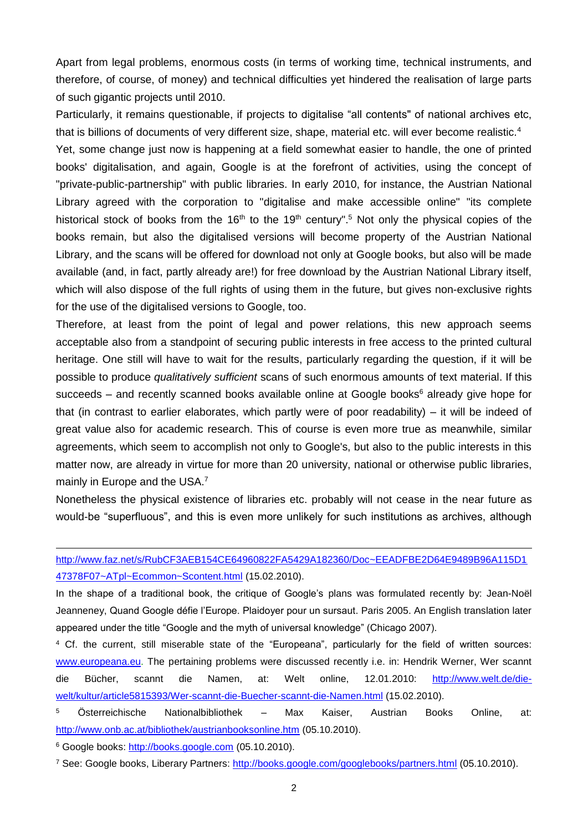Apart from legal problems, enormous costs (in terms of working time, technical instruments, and therefore, of course, of money) and technical difficulties yet hindered the realisation of large parts of such gigantic projects until 2010.

Particularly, it remains questionable, if projects to digitalise "all contents" of national archives etc, that is billions of documents of very different size, shape, material etc. will ever become realistic.<sup>4</sup>

Yet, some change just now is happening at a field somewhat easier to handle, the one of printed books' digitalisation, and again, Google is at the forefront of activities, using the concept of "private-public-partnership" with public libraries. In early 2010, for instance, the Austrian National Library agreed with the corporation to "digitalise and make accessible online" "its complete historical stock of books from the 16<sup>th</sup> to the 19<sup>th</sup> century".<sup>5</sup> Not only the physical copies of the books remain, but also the digitalised versions will become property of the Austrian National Library, and the scans will be offered for download not only at Google books, but also will be made available (and, in fact, partly already are!) for free download by the Austrian National Library itself, which will also dispose of the full rights of using them in the future, but gives non-exclusive rights for the use of the digitalised versions to Google, too.

Therefore, at least from the point of legal and power relations, this new approach seems acceptable also from a standpoint of securing public interests in free access to the printed cultural heritage. One still will have to wait for the results, particularly regarding the question, if it will be possible to produce *qualitatively sufficient* scans of such enormous amounts of text material. If this succeeds – and recently scanned books available online at Google books $6$  already give hope for that (in contrast to earlier elaborates, which partly were of poor readability) – it will be indeed of great value also for academic research. This of course is even more true as meanwhile, similar agreements, which seem to accomplish not only to Google's, but also to the public interests in this matter now, are already in virtue for more than 20 university, national or otherwise public libraries, mainly in Europe and the USA.<sup>7</sup>

Nonetheless the physical existence of libraries etc. probably will not cease in the near future as would-be "superfluous", and this is even more unlikely for such institutions as archives, although

[http://www.faz.net/s/RubCF3AEB154CE64960822FA5429A182360/Doc~EEADFBE2D64E9489B96A115D1](http://www.faz.net/s/RubCF3AEB154CE64960822FA5429A182360/Doc~EEADFBE2D64E9489B96A115D147378F07~ATpl~Ecommon~Scontent.html) [47378F07~ATpl~Ecommon~Scontent.html](http://www.faz.net/s/RubCF3AEB154CE64960822FA5429A182360/Doc~EEADFBE2D64E9489B96A115D147378F07~ATpl~Ecommon~Scontent.html) (15.02.2010).

In the shape of a traditional book, the critique of Google's plans was formulated recently by: Jean-Noël Jeanneney, Quand Google défie l'Europe. Plaidoyer pour un sursaut. Paris 2005. An English translation later appeared under the title "Google and the myth of universal knowledge" (Chicago 2007).

<sup>4</sup> Cf. the current, still miserable state of the "Europeana", particularly for the field of written sources: [www.europeana.eu.](http://www.europeana.eu/) The pertaining problems were discussed recently i.e. in: Hendrik Werner, Wer scannt die Bücher, scannt die Namen, at: Welt online, 12.01.2010: [http://www.welt.de/die](http://www.welt.de/die-welt/kultur/article5815393/Wer-scannt-die-Buecher-scannt-die-Namen.html)[welt/kultur/article5815393/Wer-scannt-die-Buecher-scannt-die-Namen.html](http://www.welt.de/die-welt/kultur/article5815393/Wer-scannt-die-Buecher-scannt-die-Namen.html) (15.02.2010).

<sup>5</sup> Österreichische Nationalbibliothek – Max Kaiser, Austrian Books Online, at: <http://www.onb.ac.at/bibliothek/austrianbooksonline.htm> (05.10.2010).

<sup>6</sup> Google books: [http://books.google.com](http://books.google.com/) (05.10.2010).

<u>.</u>

<sup>7</sup> See: Google books, Liberary Partners:<http://books.google.com/googlebooks/partners.html> (05.10.2010).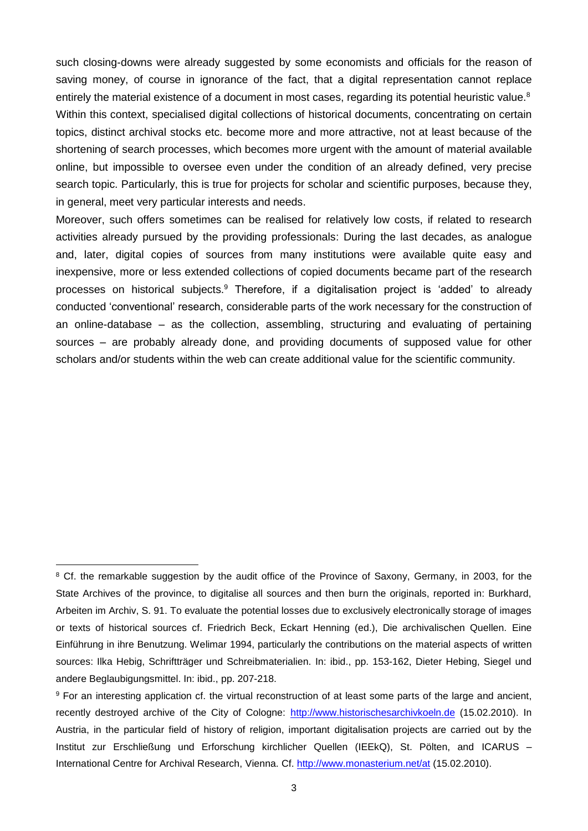such closing-downs were already suggested by some economists and officials for the reason of saving money, of course in ignorance of the fact, that a digital representation cannot replace entirely the material existence of a document in most cases, regarding its potential heuristic value.<sup>8</sup> Within this context, specialised digital collections of historical documents, concentrating on certain topics, distinct archival stocks etc. become more and more attractive, not at least because of the shortening of search processes, which becomes more urgent with the amount of material available online, but impossible to oversee even under the condition of an already defined, very precise search topic. Particularly, this is true for projects for scholar and scientific purposes, because they, in general, meet very particular interests and needs.

Moreover, such offers sometimes can be realised for relatively low costs, if related to research activities already pursued by the providing professionals: During the last decades, as analogue and, later, digital copies of sources from many institutions were available quite easy and inexpensive, more or less extended collections of copied documents became part of the research processes on historical subjects.<sup>9</sup> Therefore, if a digitalisation project is 'added' to already conducted 'conventional' research, considerable parts of the work necessary for the construction of an online-database – as the collection, assembling, structuring and evaluating of pertaining sources – are probably already done, and providing documents of supposed value for other scholars and/or students within the web can create additional value for the scientific community.

1

<sup>&</sup>lt;sup>8</sup> Cf. the remarkable suggestion by the audit office of the Province of Saxony, Germany, in 2003, for the State Archives of the province, to digitalise all sources and then burn the originals, reported in: Burkhard, Arbeiten im Archiv, S. 91. To evaluate the potential losses due to exclusively electronically storage of images or texts of historical sources cf. Friedrich Beck, Eckart Henning (ed.), Die archivalischen Quellen. Eine Einführung in ihre Benutzung. Welimar 1994, particularly the contributions on the material aspects of written sources: Ilka Hebig, Schriftträger und Schreibmaterialien. In: ibid., pp. 153-162, Dieter Hebing, Siegel und andere Beglaubigungsmittel. In: ibid., pp. 207-218.

<sup>9</sup> For an interesting application cf. the virtual reconstruction of at least some parts of the large and ancient, recently destroyed archive of the City of Cologne: [http://www.historischesarchivkoeln.de](http://www.historischesarchivkoeln.de/) (15.02.2010). In Austria, in the particular field of history of religion, important digitalisation projects are carried out by the Institut zur Erschließung und Erforschung kirchlicher Quellen (IEEkQ), St. Pölten, and ICARUS – International Centre for Archival Research, Vienna. Cf.<http://www.monasterium.net/at> (15.02.2010).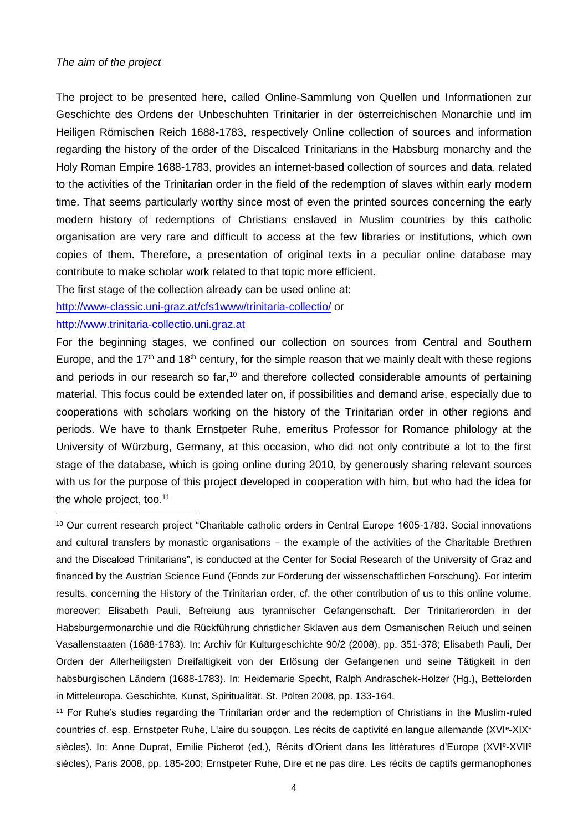#### *The aim of the project*

The project to be presented here, called Online-Sammlung von Quellen und Informationen zur Geschichte des Ordens der Unbeschuhten Trinitarier in der österreichischen Monarchie und im Heiligen Römischen Reich 1688-1783, respectively Online collection of sources and information regarding the history of the order of the Discalced Trinitarians in the Habsburg monarchy and the Holy Roman Empire 1688-1783, provides an internet-based collection of sources and data, related to the activities of the Trinitarian order in the field of the redemption of slaves within early modern time. That seems particularly worthy since most of even the printed sources concerning the early modern history of redemptions of Christians enslaved in Muslim countries by this catholic organisation are very rare and difficult to access at the few libraries or institutions, which own copies of them. Therefore, a presentation of original texts in a peculiar online database may contribute to make scholar work related to that topic more efficient.

The first stage of the collection already can be used online at:

<http://www-classic.uni-graz.at/cfs1www/trinitaria-collectio/> or

### [http://www.trinitaria-collectio.uni.graz.at](http://www.trinitaria-collectio.uni.graz.at/)

1

For the beginning stages, we confined our collection on sources from Central and Southern Europe, and the 17<sup>th</sup> and 18<sup>th</sup> century, for the simple reason that we mainly dealt with these regions and periods in our research so far, $10$  and therefore collected considerable amounts of pertaining material. This focus could be extended later on, if possibilities and demand arise, especially due to cooperations with scholars working on the history of the Trinitarian order in other regions and periods. We have to thank Ernstpeter Ruhe, emeritus Professor for Romance philology at the University of Würzburg, Germany, at this occasion, who did not only contribute a lot to the first stage of the database, which is going online during 2010, by generously sharing relevant sources with us for the purpose of this project developed in cooperation with him, but who had the idea for the whole project, too.<sup>11</sup>

<sup>10</sup> Our current research project "Charitable catholic orders in Central Europe 1605-1783. Social innovations and cultural transfers by monastic organisations – the example of the activities of the Charitable Brethren and the Discalced Trinitarians", is conducted at the Center for Social Research of the University of Graz and financed by the Austrian Science Fund (Fonds zur Förderung der wissenschaftlichen Forschung). For interim results, concerning the History of the Trinitarian order, cf. the other contribution of us to this online volume, moreover; Elisabeth Pauli, Befreiung aus tyrannischer Gefangenschaft. Der Trinitarierorden in der Habsburgermonarchie und die Rückführung christlicher Sklaven aus dem Osmanischen Reiuch und seinen Vasallenstaaten (1688-1783). In: Archiv für Kulturgeschichte 90/2 (2008), pp. 351-378; Elisabeth Pauli, Der Orden der Allerheiligsten Dreifaltigkeit von der Erlösung der Gefangenen und seine Tätigkeit in den habsburgischen Ländern (1688-1783). In: Heidemarie Specht, Ralph Andraschek-Holzer (Hg.), Bettelorden in Mitteleuropa. Geschichte, Kunst, Spiritualität. St. Pölten 2008, pp. 133-164.

<sup>11</sup> For Ruhe's studies regarding the Trinitarian order and the redemption of Christians in the Muslim-ruled countries cf. esp. Ernstpeter Ruhe, L'aire du soupçon. Les récits de captivité en langue allemande (XVIe-XIXe siècles). In: Anne Duprat, Emilie Picherot (ed.), Récits d'Orient dans les littératures d'Europe (XVI<sup>e</sup>-XVII<sup>e</sup> siècles), Paris 2008, pp. 185-200; Ernstpeter Ruhe, Dire et ne pas dire. Les récits de captifs germanophones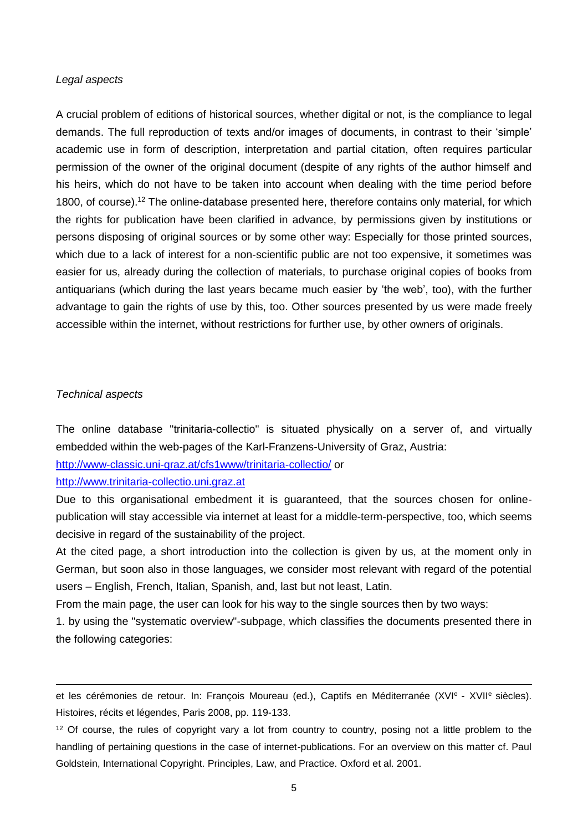#### *Legal aspects*

A crucial problem of editions of historical sources, whether digital or not, is the compliance to legal demands. The full reproduction of texts and/or images of documents, in contrast to their 'simple' academic use in form of description, interpretation and partial citation, often requires particular permission of the owner of the original document (despite of any rights of the author himself and his heirs, which do not have to be taken into account when dealing with the time period before 1800, of course).<sup>12</sup> The online-database presented here, therefore contains only material, for which the rights for publication have been clarified in advance, by permissions given by institutions or persons disposing of original sources or by some other way: Especially for those printed sources, which due to a lack of interest for a non-scientific public are not too expensive, it sometimes was easier for us, already during the collection of materials, to purchase original copies of books from antiquarians (which during the last years became much easier by 'the web', too), with the further advantage to gain the rights of use by this, too. Other sources presented by us were made freely accessible within the internet, without restrictions for further use, by other owners of originals.

### *Technical aspects*

<u>.</u>

The online database "trinitaria-collectio" is situated physically on a server of, and virtually embedded within the web-pages of the Karl-Franzens-University of Graz, Austria:

<http://www-classic.uni-graz.at/cfs1www/trinitaria-collectio/> or

[http://www.trinitaria-collectio.uni.graz.at](http://www.trinitaria-collectio.uni.graz.at/)

Due to this organisational embedment it is guaranteed, that the sources chosen for onlinepublication will stay accessible via internet at least for a middle-term-perspective, too, which seems decisive in regard of the sustainability of the project.

At the cited page, a short introduction into the collection is given by us, at the moment only in German, but soon also in those languages, we consider most relevant with regard of the potential users – English, French, Italian, Spanish, and, last but not least, Latin.

From the main page, the user can look for his way to the single sources then by two ways:

1. by using the "systematic overview"-subpage, which classifies the documents presented there in the following categories:

et les cérémonies de retour. In: François Moureau (ed.), Captifs en Méditerranée (XVI<sup>e</sup> - XVII<sup>e</sup> siècles). Histoires, récits et légendes, Paris 2008, pp. 119-133.

<sup>12</sup> Of course, the rules of copyright vary a lot from country to country, posing not a little problem to the handling of pertaining questions in the case of internet-publications. For an overview on this matter cf. Paul Goldstein, International Copyright. Principles, Law, and Practice. Oxford et al. 2001.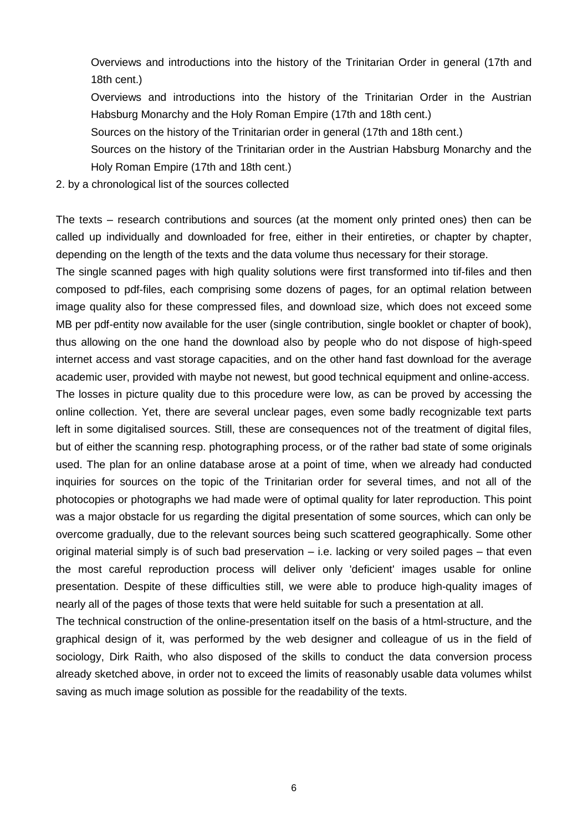Overviews and introductions into the history of the Trinitarian Order in general (17th and 18th cent.)

Overviews and introductions into the history of the Trinitarian Order in the Austrian Habsburg Monarchy and the Holy Roman Empire (17th and 18th cent.)

- Sources on the history of the Trinitarian order in general (17th and 18th cent.)
- Sources on the history of the Trinitarian order in the Austrian Habsburg Monarchy and the Holy Roman Empire (17th and 18th cent.)
- 2. by a chronological list of the sources collected

The texts – research contributions and sources (at the moment only printed ones) then can be called up individually and downloaded for free, either in their entireties, or chapter by chapter, depending on the length of the texts and the data volume thus necessary for their storage.

The single scanned pages with high quality solutions were first transformed into tif-files and then composed to pdf-files, each comprising some dozens of pages, for an optimal relation between image quality also for these compressed files, and download size, which does not exceed some MB per pdf-entity now available for the user (single contribution, single booklet or chapter of book), thus allowing on the one hand the download also by people who do not dispose of high-speed internet access and vast storage capacities, and on the other hand fast download for the average academic user, provided with maybe not newest, but good technical equipment and online-access. The losses in picture quality due to this procedure were low, as can be proved by accessing the online collection. Yet, there are several unclear pages, even some badly recognizable text parts left in some digitalised sources. Still, these are consequences not of the treatment of digital files, but of either the scanning resp. photographing process, or of the rather bad state of some originals used. The plan for an online database arose at a point of time, when we already had conducted inquiries for sources on the topic of the Trinitarian order for several times, and not all of the photocopies or photographs we had made were of optimal quality for later reproduction. This point was a major obstacle for us regarding the digital presentation of some sources, which can only be overcome gradually, due to the relevant sources being such scattered geographically. Some other original material simply is of such bad preservation – i.e. lacking or very soiled pages – that even the most careful reproduction process will deliver only 'deficient' images usable for online presentation. Despite of these difficulties still, we were able to produce high-quality images of nearly all of the pages of those texts that were held suitable for such a presentation at all.

The technical construction of the online-presentation itself on the basis of a html-structure, and the graphical design of it, was performed by the web designer and colleague of us in the field of sociology, Dirk Raith, who also disposed of the skills to conduct the data conversion process already sketched above, in order not to exceed the limits of reasonably usable data volumes whilst saving as much image solution as possible for the readability of the texts.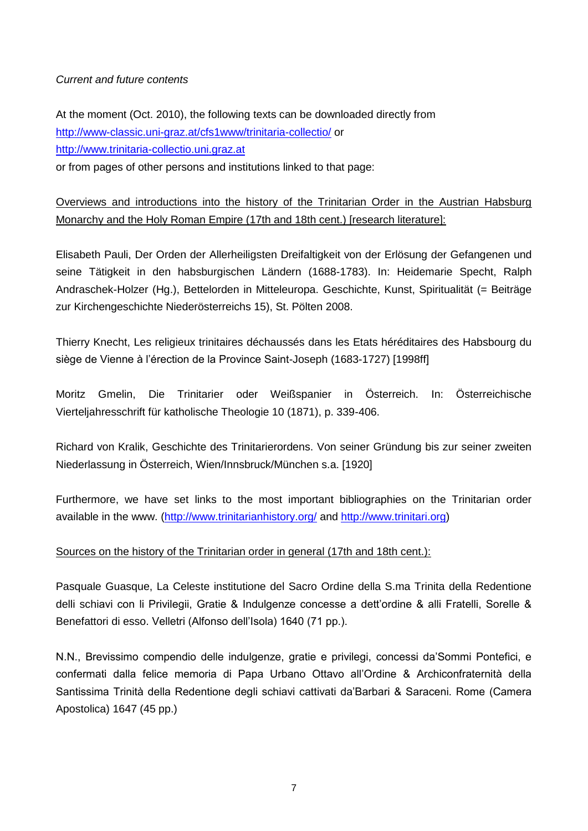### *Current and future contents*

At the moment (Oct. 2010), the following texts can be downloaded directly from <http://www-classic.uni-graz.at/cfs1www/trinitaria-collectio/> or [http://www.trinitaria-collectio.uni.graz.at](http://www.trinitaria-collectio.uni.graz.at/)

or from pages of other persons and institutions linked to that page:

Overviews and introductions into the history of the Trinitarian Order in the Austrian Habsburg Monarchy and the Holy Roman Empire (17th and 18th cent.) [research literature]:

Elisabeth Pauli, Der Orden der Allerheiligsten Dreifaltigkeit von der Erlösung der Gefangenen und seine Tätigkeit in den habsburgischen Ländern (1688-1783). In: Heidemarie Specht, Ralph Andraschek-Holzer (Hg.), Bettelorden in Mitteleuropa. Geschichte, Kunst, Spiritualität (= Beiträge zur Kirchengeschichte Niederösterreichs 15), St. Pölten 2008.

Thierry Knecht, Les religieux trinitaires déchaussés dans les Etats héréditaires des Habsbourg du siège de Vienne à l'érection de la Province Saint-Joseph (1683-1727) [1998ff]

Moritz Gmelin, Die Trinitarier oder Weißspanier in Österreich. In: Österreichische Vierteljahresschrift für katholische Theologie 10 (1871), p. 339-406.

Richard von Kralik, Geschichte des Trinitarierordens. Von seiner Gründung bis zur seiner zweiten Niederlassung in Österreich, Wien/Innsbruck/München s.a. [1920]

Furthermore, we have set links to the most important bibliographies on the Trinitarian order available in the www. [\(http://www.trinitarianhistory.org/](http://www.trinitarianhistory.org/) and [http://www.trinitari.org\)](http://www.trinitari.org/)

# Sources on the history of the Trinitarian order in general (17th and 18th cent.):

Pasquale Guasque, La Celeste institutione del Sacro Ordine della S.ma Trinita della Redentione delli schiavi con li Privilegii, Gratie & Indulgenze concesse a dett'ordine & alli Fratelli, Sorelle & Benefattori di esso. Velletri (Alfonso dell'Isola) 1640 (71 pp.).

N.N., Brevissimo compendio delle indulgenze, gratie e privilegi, concessi da'Sommi Pontefici, e confermati dalla felice memoria di Papa Urbano Ottavo all'Ordine & Archiconfraternità della Santissima Trinità della Redentione degli schiavi cattivati da'Barbari & Saraceni. Rome (Camera Apostolica) 1647 (45 pp.)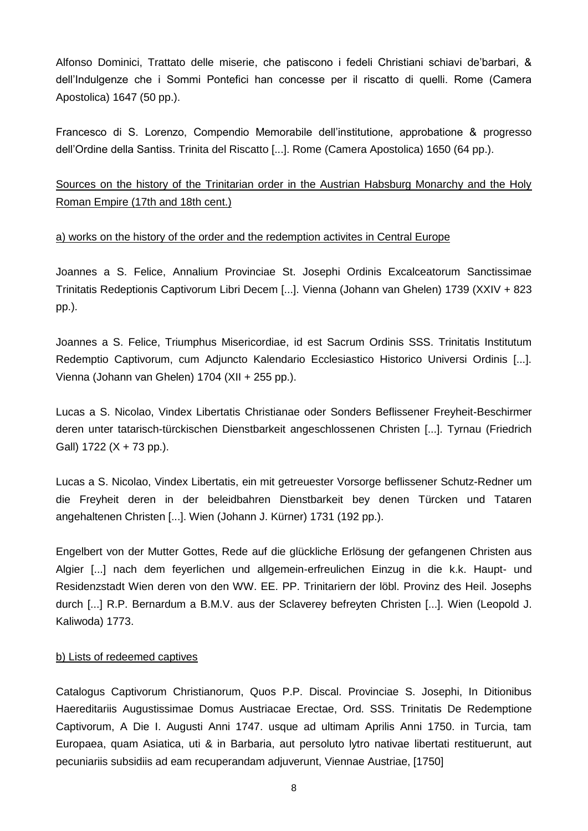Alfonso Dominici, Trattato delle miserie, che patiscono i fedeli Christiani schiavi de'barbari, & dell'Indulgenze che i Sommi Pontefici han concesse per il riscatto di quelli. Rome (Camera Apostolica) 1647 (50 pp.).

Francesco di S. Lorenzo, Compendio Memorabile dell'institutione, approbatione & progresso dell'Ordine della Santiss. Trinita del Riscatto [...]. Rome (Camera Apostolica) 1650 (64 pp.).

Sources on the history of the Trinitarian order in the Austrian Habsburg Monarchy and the Holy Roman Empire (17th and 18th cent.)

# a) works on the history of the order and the redemption activites in Central Europe

Joannes a S. Felice, Annalium Provinciae St. Josephi Ordinis Excalceatorum Sanctissimae Trinitatis Redeptionis Captivorum Libri Decem [...]. Vienna (Johann van Ghelen) 1739 (XXIV + 823 pp.).

Joannes a S. Felice, Triumphus Misericordiae, id est Sacrum Ordinis SSS. Trinitatis Institutum Redemptio Captivorum, cum Adjuncto Kalendario Ecclesiastico Historico Universi Ordinis [...]. Vienna (Johann van Ghelen) 1704 (XII + 255 pp.).

Lucas a S. Nicolao, Vindex Libertatis Christianae oder Sonders Beflissener Freyheit-Beschirmer deren unter tatarisch-türckischen Dienstbarkeit angeschlossenen Christen [...]. Tyrnau (Friedrich Gall) 1722 (X + 73 pp.).

Lucas a S. Nicolao, Vindex Libertatis, ein mit getreuester Vorsorge beflissener Schutz-Redner um die Freyheit deren in der beleidbahren Dienstbarkeit bey denen Türcken und Tataren angehaltenen Christen [...]. Wien (Johann J. Kürner) 1731 (192 pp.).

Engelbert von der Mutter Gottes, Rede auf die glückliche Erlösung der gefangenen Christen aus Algier [...] nach dem feyerlichen und allgemein-erfreulichen Einzug in die k.k. Haupt- und Residenzstadt Wien deren von den WW. EE. PP. Trinitariern der löbl. Provinz des Heil. Josephs durch [...] R.P. Bernardum a B.M.V. aus der Sclaverey befreyten Christen [...]. Wien (Leopold J. Kaliwoda) 1773.

# b) Lists of redeemed captives

Catalogus Captivorum Christianorum, Quos P.P. Discal. Provinciae S. Josephi, In Ditionibus Haereditariis Augustissimae Domus Austriacae Erectae, Ord. SSS. Trinitatis De Redemptione Captivorum, A Die I. Augusti Anni 1747. usque ad ultimam Aprilis Anni 1750. in Turcia, tam Europaea, quam Asiatica, uti & in Barbaria, aut persoluto lytro nativae libertati restituerunt, aut pecuniariis subsidiis ad eam recuperandam adjuverunt, Viennae Austriae, [1750]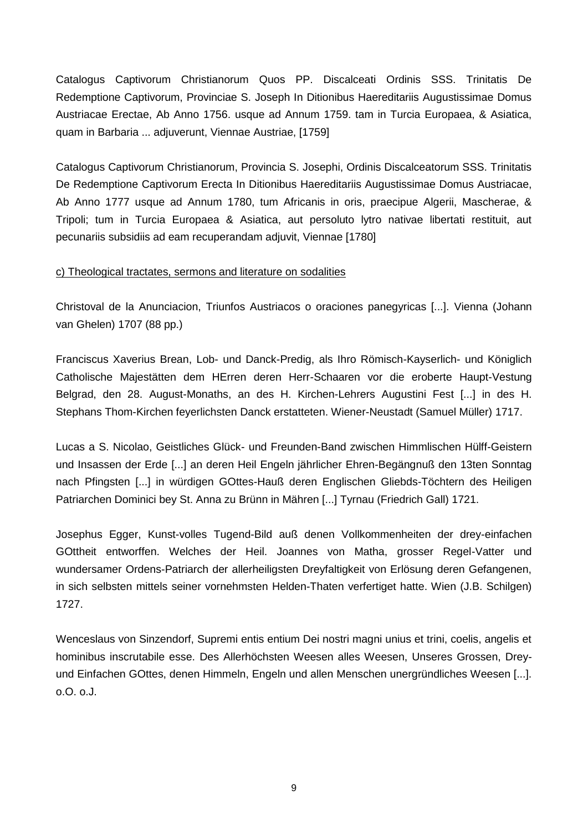Catalogus Captivorum Christianorum Quos PP. Discalceati Ordinis SSS. Trinitatis De Redemptione Captivorum, Provinciae S. Joseph In Ditionibus Haereditariis Augustissimae Domus Austriacae Erectae, Ab Anno 1756. usque ad Annum 1759. tam in Turcia Europaea, & Asiatica, quam in Barbaria ... adjuverunt, Viennae Austriae, [1759]

Catalogus Captivorum Christianorum, Provincia S. Josephi, Ordinis Discalceatorum SSS. Trinitatis De Redemptione Captivorum Erecta In Ditionibus Haereditariis Augustissimae Domus Austriacae, Ab Anno 1777 usque ad Annum 1780, tum Africanis in oris, praecipue Algerii, Mascherae, & Tripoli; tum in Turcia Europaea & Asiatica, aut persoluto lytro nativae libertati restituit, aut pecunariis subsidiis ad eam recuperandam adjuvit, Viennae [1780]

## c) Theological tractates, sermons and literature on sodalities

Christoval de la Anunciacion, Triunfos Austriacos o oraciones panegyricas [...]. Vienna (Johann van Ghelen) 1707 (88 pp.)

Franciscus Xaverius Brean, Lob- und Danck-Predig, als Ihro Römisch-Kayserlich- und Königlich Catholische Majestätten dem HErren deren Herr-Schaaren vor die eroberte Haupt-Vestung Belgrad, den 28. August-Monaths, an des H. Kirchen-Lehrers Augustini Fest [...] in des H. Stephans Thom-Kirchen feyerlichsten Danck erstatteten. Wiener-Neustadt (Samuel Müller) 1717.

Lucas a S. Nicolao, Geistliches Glück- und Freunden-Band zwischen Himmlischen Hülff-Geistern und Insassen der Erde [...] an deren Heil Engeln jährlicher Ehren-Begängnuß den 13ten Sonntag nach Pfingsten [...] in würdigen GOttes-Hauß deren Englischen Gliebds-Töchtern des Heiligen Patriarchen Dominici bey St. Anna zu Brünn in Mähren [...] Tyrnau (Friedrich Gall) 1721.

Josephus Egger, Kunst-volles Tugend-Bild auß denen Vollkommenheiten der drey-einfachen GOttheit entworffen. Welches der Heil. Joannes von Matha, grosser Regel-Vatter und wundersamer Ordens-Patriarch der allerheiligsten Dreyfaltigkeit von Erlösung deren Gefangenen, in sich selbsten mittels seiner vornehmsten Helden-Thaten verfertiget hatte. Wien (J.B. Schilgen) 1727.

Wenceslaus von Sinzendorf, Supremi entis entium Dei nostri magni unius et trini, coelis, angelis et hominibus inscrutabile esse. Des Allerhöchsten Weesen alles Weesen, Unseres Grossen, Dreyund Einfachen GOttes, denen Himmeln, Engeln und allen Menschen unergründliches Weesen [...]. o.O. o.J.